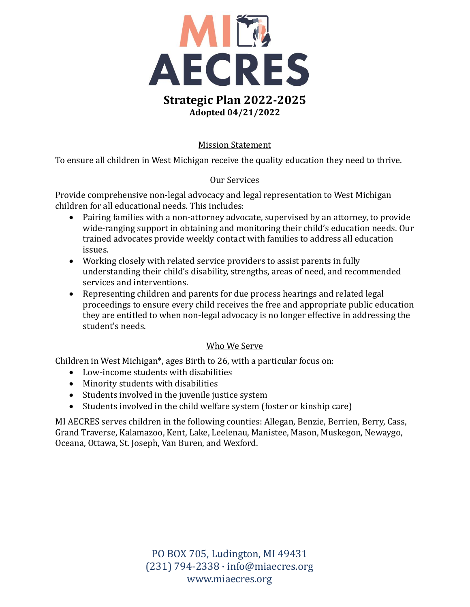

## Mission Statement

To ensure all children in West Michigan receive the quality education they need to thrive.

## Our Services

Provide comprehensive non-legal advocacy and legal representation to West Michigan children for all educational needs. This includes:

- Pairing families with a non-attorney advocate, supervised by an attorney, to provide wide-ranging support in obtaining and monitoring their child's education needs. Our trained advocates provide weekly contact with families to address all education issues.
- Working closely with related service providers to assist parents in fully understanding their child's disability, strengths, areas of need, and recommended services and interventions.
- Representing children and parents for due process hearings and related legal proceedings to ensure every child receives the free and appropriate public education they are entitled to when non-legal advocacy is no longer effective in addressing the student's needs.

#### Who We Serve

Children in West Michigan\*, ages Birth to 26, with a particular focus on:

- Low-income students with disabilities
- Minority students with disabilities
- Students involved in the juvenile justice system
- Students involved in the child welfare system (foster or kinship care)

MI AECRES serves children in the following counties: Allegan, Benzie, Berrien, Berry, Cass, Grand Traverse, Kalamazoo, Kent, Lake, Leelenau, Manistee, Mason, Muskegon, Newaygo, Oceana, Ottawa, St. Joseph, Van Buren, and Wexford.

> PO BOX 705, Ludington, MI 49431 (231) 794-2338 · info@miaecres.org www.miaecres.org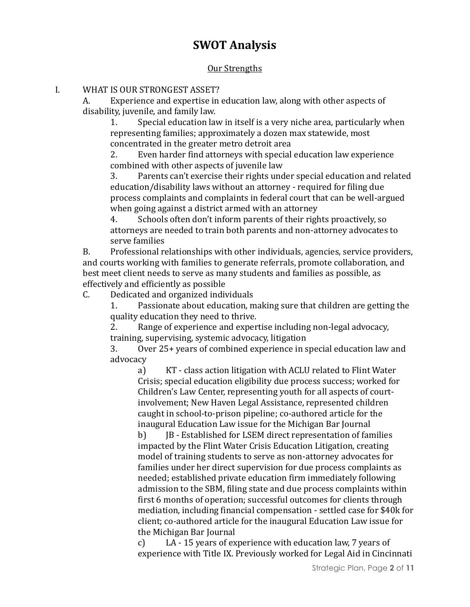# **SWOT Analysis**

#### Our Strengths

#### I. WHAT IS OUR STRONGEST ASSET?

A. Experience and expertise in education law, along with other aspects of disability, juvenile, and family law.

1. Special education law in itself is a very niche area, particularly when representing families; approximately a dozen max statewide, most concentrated in the greater metro detroit area

2. Even harder find attorneys with special education law experience combined with other aspects of juvenile law

3. Parents can't exercise their rights under special education and related education/disability laws without an attorney - required for filing due process complaints and complaints in federal court that can be well-argued when going against a district armed with an attorney

4. Schools often don't inform parents of their rights proactively, so attorneys are needed to train both parents and non-attorney advocates to serve families

B. Professional relationships with other individuals, agencies, service providers, and courts working with families to generate referrals, promote collaboration, and best meet client needs to serve as many students and families as possible, as effectively and efficiently as possible

C. Dedicated and organized individuals

1. Passionate about education, making sure that children are getting the quality education they need to thrive.

2. Range of experience and expertise including non-legal advocacy, training, supervising, systemic advocacy, litigation

3. Over 25+ years of combined experience in special education law and advocacy

a) KT - class action litigation with ACLU related to Flint Water Crisis; special education eligibility due process success; worked for Children's Law Center, representing youth for all aspects of courtinvolvement; New Haven Legal Assistance, represented children caught in school-to-prison pipeline; co-authored article for the inaugural Education Law issue for the Michigan Bar Journal

b) JB - Established for LSEM direct representation of families impacted by the Flint Water Crisis Education Litigation, creating model of training students to serve as non-attorney advocates for families under her direct supervision for due process complaints as needed; established private education firm immediately following admission to the SBM, filing state and due process complaints within first 6 months of operation; successful outcomes for clients through mediation, including financial compensation - settled case for \$40k for client; co-authored article for the inaugural Education Law issue for the Michigan Bar Journal

c) LA - 15 years of experience with education law, 7 years of experience with Title IX. Previously worked for Legal Aid in Cincinnati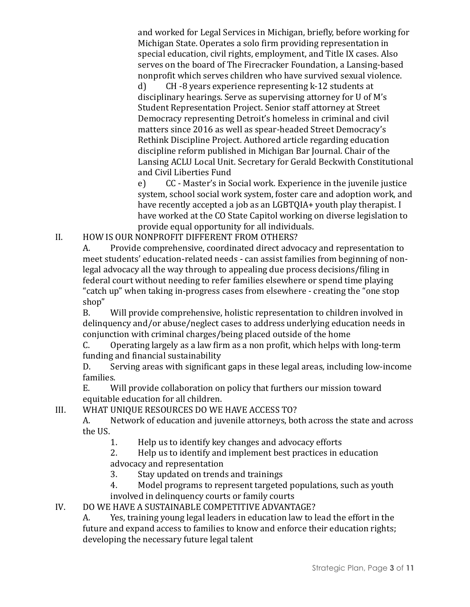and worked for Legal Services in Michigan, briefly, before working for Michigan State. Operates a solo firm providing representation in special education, civil rights, employment, and Title IX cases. Also serves on the board of The Firecracker Foundation, a Lansing-based nonprofit which serves children who have survived sexual violence.

d) CH -8 years experience representing k-12 students at disciplinary hearings. Serve as supervising attorney for U of M's Student Representation Project. Senior staff attorney at Street Democracy representing Detroit's homeless in criminal and civil matters since 2016 as well as spear-headed Street Democracy's Rethink Discipline Project. Authored article regarding education discipline reform published in Michigan Bar Journal. Chair of the Lansing ACLU Local Unit. Secretary for Gerald Beckwith Constitutional and Civil Liberties Fund

e) CC - Master's in Social work. Experience in the juvenile justice system, school social work system, foster care and adoption work, and have recently accepted a job as an LGBTQIA+ youth play therapist. I have worked at the CO State Capitol working on diverse legislation to provide equal opportunity for all individuals.

II. HOW IS OUR NONPROFIT DIFFERENT FROM OTHERS?

A. Provide comprehensive, coordinated direct advocacy and representation to meet students' education-related needs - can assist families from beginning of nonlegal advocacy all the way through to appealing due process decisions/filing in federal court without needing to refer families elsewhere or spend time playing "catch up" when taking in-progress cases from elsewhere - creating the "one stop shop"

B. Will provide comprehensive, holistic representation to children involved in delinquency and/or abuse/neglect cases to address underlying education needs in conjunction with criminal charges/being placed outside of the home

C. Operating largely as a law firm as a non profit, which helps with long-term funding and financial sustainability

D. Serving areas with significant gaps in these legal areas, including low-income families.

E. Will provide collaboration on policy that furthers our mission toward equitable education for all children.

III. WHAT UNIQUE RESOURCES DO WE HAVE ACCESS TO?

A. Network of education and juvenile attorneys, both across the state and across the US.

1. Help us to identify key changes and advocacy efforts

2. Help us to identify and implement best practices in education advocacy and representation

- 3. Stay updated on trends and trainings
- 4. Model programs to represent targeted populations, such as youth involved in delinquency courts or family courts
- IV. DO WE HAVE A SUSTAINABLE COMPETITIVE ADVANTAGE?

A. Yes, training young legal leaders in education law to lead the effort in the future and expand access to families to know and enforce their education rights; developing the necessary future legal talent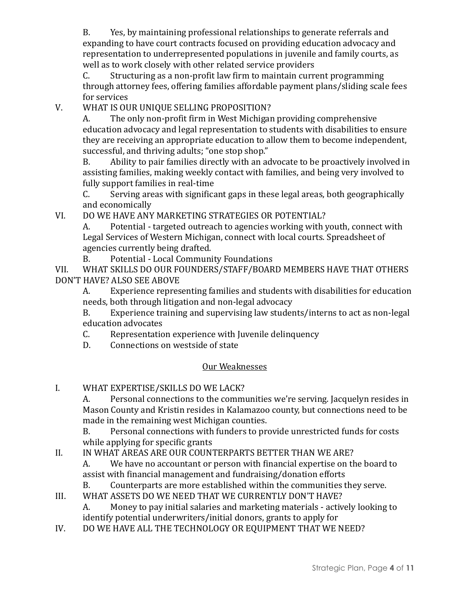B. Yes, by maintaining professional relationships to generate referrals and expanding to have court contracts focused on providing education advocacy and representation to underrepresented populations in juvenile and family courts, as well as to work closely with other related service providers

C. Structuring as a non-profit law firm to maintain current programming through attorney fees, offering families affordable payment plans/sliding scale fees for services

V. WHAT IS OUR UNIQUE SELLING PROPOSITION?

A. The only non-profit firm in West Michigan providing comprehensive education advocacy and legal representation to students with disabilities to ensure they are receiving an appropriate education to allow them to become independent, successful, and thriving adults; "one stop shop."

B. Ability to pair families directly with an advocate to be proactively involved in assisting families, making weekly contact with families, and being very involved to fully support families in real-time

C. Serving areas with significant gaps in these legal areas, both geographically and economically

VI. DO WE HAVE ANY MARKETING STRATEGIES OR POTENTIAL?

A. Potential - targeted outreach to agencies working with youth, connect with Legal Services of Western Michigan, connect with local courts. Spreadsheet of agencies currently being drafted.

B. Potential - Local Community Foundations

VII. WHAT SKILLS DO OUR FOUNDERS/STAFF/BOARD MEMBERS HAVE THAT OTHERS DON'T HAVE? ALSO SEE ABOVE

A. Experience representing families and students with disabilities for education needs, both through litigation and non-legal advocacy

B. Experience training and supervising law students/interns to act as non-legal education advocates

C. Representation experience with Juvenile delinquency

D. Connections on westside of state

# Our Weaknesses

# I. WHAT EXPERTISE/SKILLS DO WE LACK?

A. Personal connections to the communities we're serving. Jacquelyn resides in Mason County and Kristin resides in Kalamazoo county, but connections need to be made in the remaining west Michigan counties.

B. Personal connections with funders to provide unrestricted funds for costs while applying for specific grants

II. IN WHAT AREAS ARE OUR COUNTERPARTS BETTER THAN WE ARE?

A. We have no accountant or person with financial expertise on the board to assist with financial management and fundraising/donation efforts

B. Counterparts are more established within the communities they serve.

III. WHAT ASSETS DO WE NEED THAT WE CURRENTLY DON'T HAVE?

A. Money to pay initial salaries and marketing materials - actively looking to identify potential underwriters/initial donors, grants to apply for

IV. DO WE HAVE ALL THE TECHNOLOGY OR EQUIPMENT THAT WE NEED?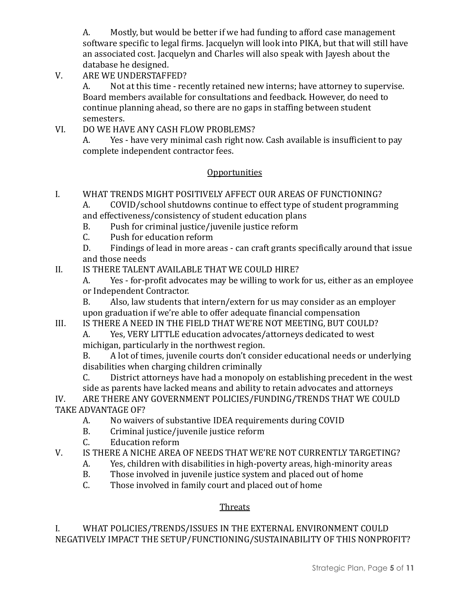A. Mostly, but would be better if we had funding to afford case management software specific to legal firms. Jacquelyn will look into PIKA, but that will still have an associated cost. Jacquelyn and Charles will also speak with Jayesh about the database he designed.

V. ARE WE UNDERSTAFFED?

A. Not at this time - recently retained new interns; have attorney to supervise. Board members available for consultations and feedback. However, do need to continue planning ahead, so there are no gaps in staffing between student semesters.

VI. DO WE HAVE ANY CASH FLOW PROBLEMS?

A. Yes - have very minimal cash right now. Cash available is insufficient to pay complete independent contractor fees.

## **Opportunities**

- I. WHAT TRENDS MIGHT POSITIVELY AFFECT OUR AREAS OF FUNCTIONING?
	- A. COVID/school shutdowns continue to effect type of student programming and effectiveness/consistency of student education plans
	- B. Push for criminal justice/juvenile justice reform
	- C. Push for education reform

D. Findings of lead in more areas - can craft grants specifically around that issue and those needs

- II. IS THERE TALENT AVAILABLE THAT WE COULD HIRE?
	- A. Yes for-profit advocates may be willing to work for us, either as an employee or Independent Contractor.

B. Also, law students that intern/extern for us may consider as an employer upon graduation if we're able to offer adequate financial compensation

III. IS THERE A NEED IN THE FIELD THAT WE'RE NOT MEETING, BUT COULD?

A. Yes, VERY LITTLE education advocates/attorneys dedicated to west michigan, particularly in the northwest region.

B. A lot of times, juvenile courts don't consider educational needs or underlying disabilities when charging children criminally

C. District attorneys have had a monopoly on establishing precedent in the west side as parents have lacked means and ability to retain advocates and attorneys

IV. ARE THERE ANY GOVERNMENT POLICIES/FUNDING/TRENDS THAT WE COULD TAKE ADVANTAGE OF?

- A. No waivers of substantive IDEA requirements during COVID
- B. Criminal justice/juvenile justice reform
- C. Education reform
- V. IS THERE A NICHE AREA OF NEEDS THAT WE'RE NOT CURRENTLY TARGETING?
	- A. Yes, children with disabilities in high-poverty areas, high-minority areas
	- B. Those involved in juvenile justice system and placed out of home
	- C. Those involved in family court and placed out of home

# **Threats**

## I. WHAT POLICIES/TRENDS/ISSUES IN THE EXTERNAL ENVIRONMENT COULD NEGATIVELY IMPACT THE SETUP/FUNCTIONING/SUSTAINABILITY OF THIS NONPROFIT?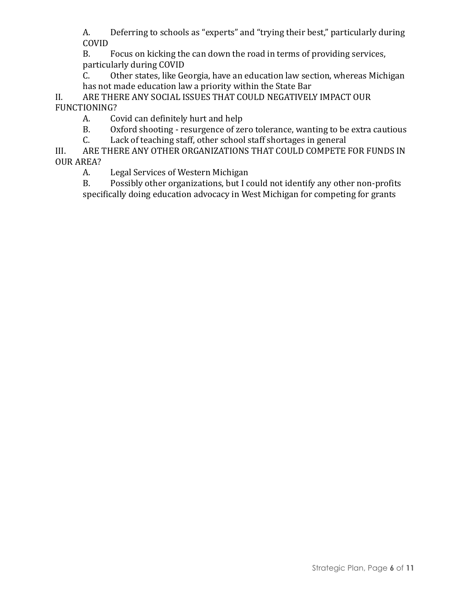A. Deferring to schools as "experts" and "trying their best," particularly during COVID

B. Focus on kicking the can down the road in terms of providing services, particularly during COVID

C. Other states, like Georgia, have an education law section, whereas Michigan has not made education law a priority within the State Bar

II. ARE THERE ANY SOCIAL ISSUES THAT COULD NEGATIVELY IMPACT OUR FUNCTIONING?

A. Covid can definitely hurt and help

B. Oxford shooting - resurgence of zero tolerance, wanting to be extra cautious

C. Lack of teaching staff, other school staff shortages in general

III. ARE THERE ANY OTHER ORGANIZATIONS THAT COULD COMPETE FOR FUNDS IN OUR AREA?

A. Legal Services of Western Michigan

B. Possibly other organizations, but I could not identify any other non-profits specifically doing education advocacy in West Michigan for competing for grants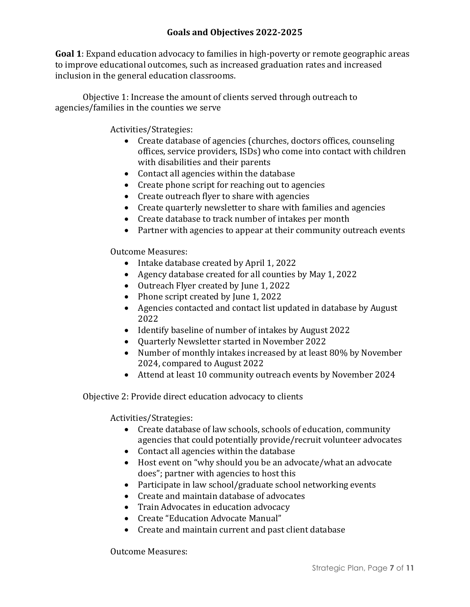**Goal 1**: Expand education advocacy to families in high-poverty or remote geographic areas to improve educational outcomes, such as increased graduation rates and increased inclusion in the general education classrooms.

Objective 1: Increase the amount of clients served through outreach to agencies/families in the counties we serve

Activities/Strategies:

- Create database of agencies (churches, doctors offices, counseling offices, service providers, ISDs) who come into contact with children with disabilities and their parents
- Contact all agencies within the database
- Create phone script for reaching out to agencies
- Create outreach flyer to share with agencies
- Create quarterly newsletter to share with families and agencies
- Create database to track number of intakes per month
- Partner with agencies to appear at their community outreach events

Outcome Measures:

- Intake database created by April 1, 2022
- Agency database created for all counties by May 1, 2022
- Outreach Flyer created by June 1, 2022
- Phone script created by June 1, 2022
- Agencies contacted and contact list updated in database by August 2022
- Identify baseline of number of intakes by August 2022
- Quarterly Newsletter started in November 2022
- Number of monthly intakes increased by at least 80% by November 2024, compared to August 2022
- Attend at least 10 community outreach events by November 2024

Objective 2: Provide direct education advocacy to clients

Activities/Strategies:

- Create database of law schools, schools of education, community agencies that could potentially provide/recruit volunteer advocates
- Contact all agencies within the database
- Host event on "why should you be an advocate/what an advocate does"; partner with agencies to host this
- Participate in law school/graduate school networking events
- Create and maintain database of advocates
- Train Advocates in education advocacy
- Create "Education Advocate Manual"
- Create and maintain current and past client database

Outcome Measures: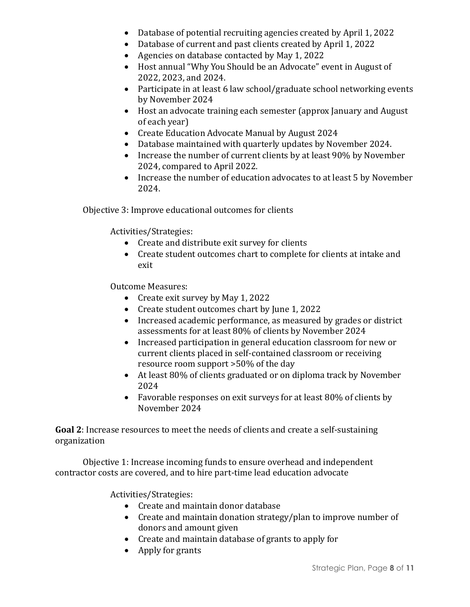- Database of potential recruiting agencies created by April 1, 2022
- Database of current and past clients created by April 1, 2022
- Agencies on database contacted by May 1, 2022
- Host annual "Why You Should be an Advocate" event in August of 2022, 2023, and 2024.
- Participate in at least 6 law school/graduate school networking events by November 2024
- Host an advocate training each semester (approx January and August of each year)
- Create Education Advocate Manual by August 2024
- Database maintained with quarterly updates by November 2024.
- Increase the number of current clients by at least 90% by November 2024, compared to April 2022.
- Increase the number of education advocates to at least 5 by November 2024.

Objective 3: Improve educational outcomes for clients

Activities/Strategies:

- Create and distribute exit survey for clients
- Create student outcomes chart to complete for clients at intake and exit

Outcome Measures:

- Create exit survey by May 1, 2022
- Create student outcomes chart by June 1, 2022
- Increased academic performance, as measured by grades or district assessments for at least 80% of clients by November 2024
- Increased participation in general education classroom for new or current clients placed in self-contained classroom or receiving resource room support >50% of the day
- At least 80% of clients graduated or on diploma track by November 2024
- Favorable responses on exit surveys for at least 80% of clients by November 2024

**Goal 2**: Increase resources to meet the needs of clients and create a self-sustaining organization

Objective 1: Increase incoming funds to ensure overhead and independent contractor costs are covered, and to hire part-time lead education advocate

Activities/Strategies:

- Create and maintain donor database
- Create and maintain donation strategy/plan to improve number of donors and amount given
- Create and maintain database of grants to apply for
- Apply for grants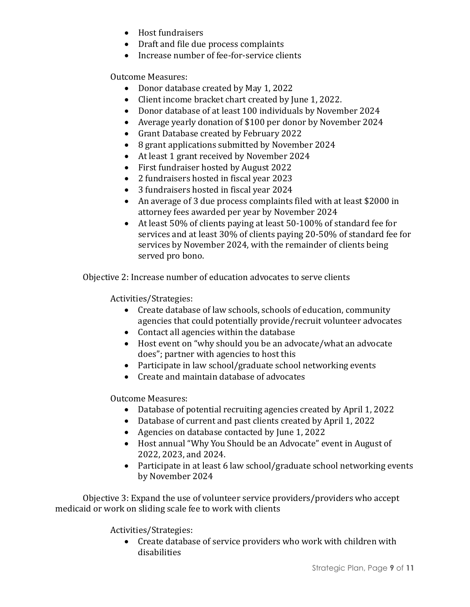- Host fundraisers
- Draft and file due process complaints
- Increase number of fee-for-service clients

Outcome Measures:

- Donor database created by May 1, 2022
- Client income bracket chart created by June 1, 2022.
- Donor database of at least 100 individuals by November 2024
- Average yearly donation of \$100 per donor by November 2024
- Grant Database created by February 2022
- 8 grant applications submitted by November 2024
- At least 1 grant received by November 2024
- First fundraiser hosted by August 2022
- 2 fundraisers hosted in fiscal year 2023
- 3 fundraisers hosted in fiscal year 2024
- An average of 3 due process complaints filed with at least \$2000 in attorney fees awarded per year by November 2024
- At least 50% of clients paying at least 50-100% of standard fee for services and at least 30% of clients paying 20-50% of standard fee for services by November 2024, with the remainder of clients being served pro bono.

Objective 2: Increase number of education advocates to serve clients

Activities/Strategies:

- Create database of law schools, schools of education, community agencies that could potentially provide/recruit volunteer advocates
- Contact all agencies within the database
- Host event on "why should you be an advocate/what an advocate does"; partner with agencies to host this
- Participate in law school/graduate school networking events
- Create and maintain database of advocates

Outcome Measures:

- Database of potential recruiting agencies created by April 1, 2022
- Database of current and past clients created by April 1, 2022
- Agencies on database contacted by June 1, 2022
- Host annual "Why You Should be an Advocate" event in August of 2022, 2023, and 2024.
- Participate in at least 6 law school/graduate school networking events by November 2024

Objective 3: Expand the use of volunteer service providers/providers who accept medicaid or work on sliding scale fee to work with clients

Activities/Strategies:

• Create database of service providers who work with children with disabilities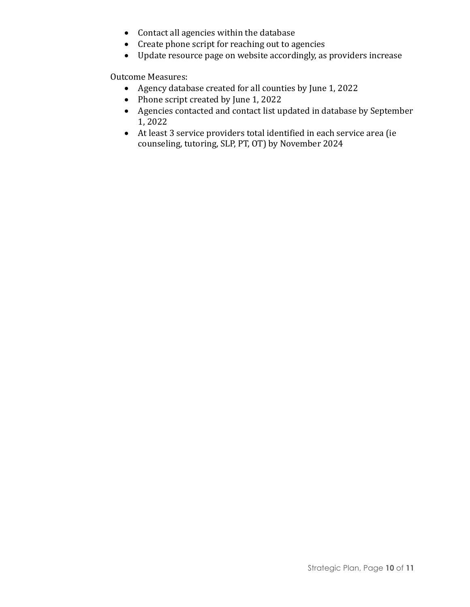- Contact all agencies within the database
- Create phone script for reaching out to agencies
- Update resource page on website accordingly, as providers increase

Outcome Measures:

- Agency database created for all counties by June 1, 2022
- Phone script created by June 1, 2022
- Agencies contacted and contact list updated in database by September 1, 2022
- At least 3 service providers total identified in each service area (ie counseling, tutoring, SLP, PT, OT) by November 2024